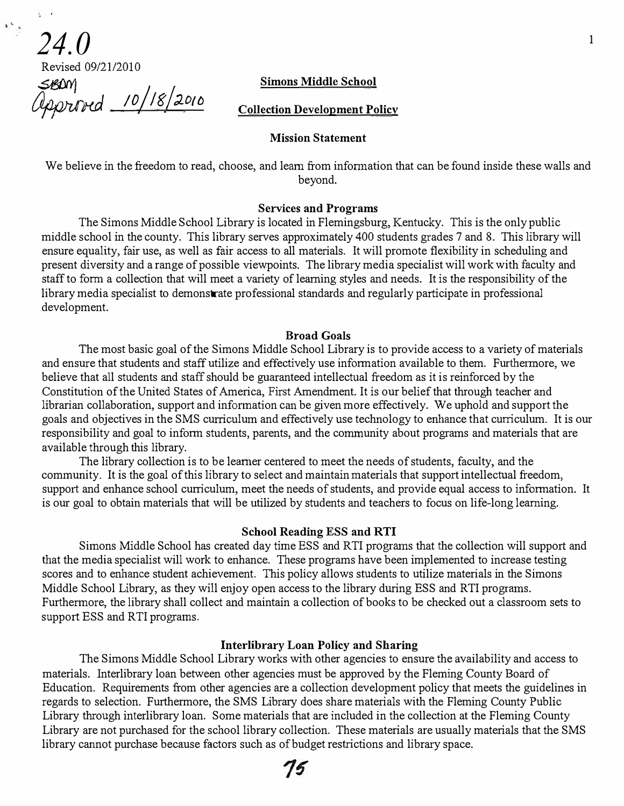#### **Simons Middle School**

Revised 09/21/2010

 $\begin{smallmatrix} \mathbf{1} & \mathbf{1} & \mathbf{1} & \mathbf{1} & \mathbf{1} & \mathbf{1} & \mathbf{1} & \mathbf{1} & \mathbf{1} & \mathbf{1} & \mathbf{1} & \mathbf{1} & \mathbf{1} & \mathbf{1} & \mathbf{1} & \mathbf{1} & \mathbf{1} & \mathbf{1} & \mathbf{1} & \mathbf{1} & \mathbf{1} & \mathbf{1} & \mathbf{1} & \mathbf{1} & \mathbf{1} & \mathbf{1} & \mathbf{1} & \mathbf{1} & \mathbf{1} & \mathbf{1} & \mathbf{$ 

10/18/2010

**Collection Development Policy** 

#### **Mission Statement**

We believe in the freedom to read, choose, and learn from information that can be found inside these walls and beyond.

#### **Services and Programs**

The Simons Middle School Library is located in Flemingsburg, Kentucky. This is the only public middle school in the county. This library serves approximately 400 students grades 7 and 8. This library will ensure equality, fair use, as well as fair access to all materials. It will promote flexibility in scheduling and present diversity and a range of possible viewpoints. The library media specialist will work with faculty and staff to form a collection that will meet a variety of leaming styles and needs. It is the responsibility of the library media specialist to demonstrate professional standards and regularly participate in professional development.

#### **Broad Goals**

The most basic goal of the Simons Middle School Library is to provide access to a variety of materials and ensure that students and staff utilize and effectively use information available to them. Furthermore, we believe that all students and staff should be guaranteed intellectual freedom as it is reinforced by the Constitution of the United States of America, First Amendment. It is our belief that through teacher and librarian collaboration, support and information can be given more effectively. We uphold and support the goals and objectives in the SMS curriculum and effectively use technology to enhance that curriculum. It is our responsibility and goal to inform students, parents, and the community about programs and materials that are available through this library.

The library collection is to be learner centered to meet the needs of students, faculty, and the community. It is the goal of this library to select and maintain materials that support intellectual freedom, support and enhance school curriculum, meet the needs of students, and provide equal access to information. It is our goal to obtain materials that will be utilized by students and teachers to focus on life-long learning.

#### **School Reading ESS and RTI**

Simons Middle School has created day time ESS and RTI programs that the collection will support and that the media specialist will work to enhance. These programs have been implemented to increase testing scores and to enhance student achievement. This policy allows students to utilize materials in the Simons Middle School Library, as they will enjoy open access to the library during ESS and RTI programs. Furthermore, the library shall collect and maintain a collection of books to be checked out a classroom sets to support ESS and RTI programs.

#### **Interlibrary Loan Policy and Sharing**

The Simons Middle School Library works with other agencies to ensure the availability and access to materials. Interlibrary loan between other agencies must be approved by the Fleming County Board of Education. Requirements from other agencies are a collection development policy that meets the guidelines in regards to selection. Furthermore, the SMS Library does share materials with the Fleming County Public Library through interlibrary loan. Some materials that are included in the collection at the Fleming County Library are not purchased for the school library collection. These materials are usually materials that the SMS library cannot purchase because factors such as of budget restrictions and library space.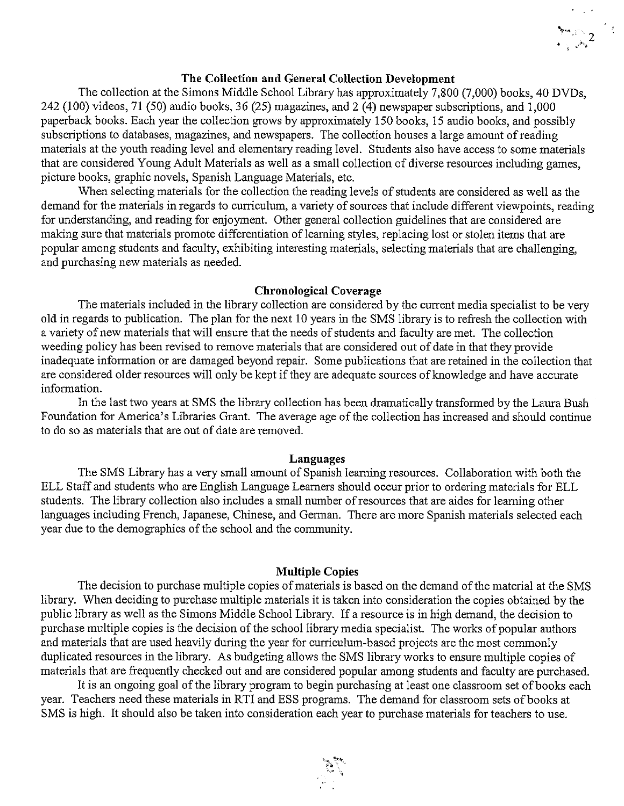## The Collection and General Collection Development

The collection at the Simons Middle School Library has approximately 7,800 (7,000) books, 40 DVDs, 242 (100) videos, 71 (50) audio books, 36 (25) magazines, and 2 (4) newspaper subscriptions, and 1,000 paperback books. Each year the collection grows by approximately 150 books, 15 audio books, and possibly subscriptions to databases, magazines, and newspapers. The collection houses a large amount of reading materials at the youth reading level and elementary reading level. Students also have access to some materials that are considered Young Adult Materials as well as a small collection of diverse resources including games, picture books, graphic novels, Spanish Language Materials, etc.

When selecting materials for the collection the reading levels of students are considered as well as the demand for the materials in regards to curriculum, a variety of sources that include different viewpoints, reading for understanding, and reading for enjoyment. Other general collection guidelines that are considered are making sure that materials promote differentiation of learning styles, replacing lost or stolen items that are popular among students and faculty, exhibiting interesting materials, selecting materials that are challenging, and purchasing new materials as needed.

#### **Chronological Coverage**

The materials included in the library collection are considered by the current media specialist to be very old in regards to publication. The plan for the next 10 years in the SMS library is to refresh the collection with a variety of new materials that will ensure that the needs of students and faculty are met. The collection weeding policy has been revised to remove materials that are considered out of date in that they provide inadequate information or are damaged beyond repair. Some publications that are retained in the collection that are considered older resources will only be kept if they are adequate sources of knowledge and have accurate information.

In the last two years at SMS the library collection has been dramatically transformed by the Laura Bush Foundation for America's Libraries Grant. The average age of the collection has increased and should continue to do so as materials that are out of date are removed.

#### Languages

The SMS Library has a very small amount of Spanish learning resources. Collaboration with both the ELL Staff and students who are English Language Learners should occur prior to ordering materials for ELL students. The library collection also includes a small number of resources that are aides for learning other languages including French, Japanese, Chinese, and German. There are more Spanish materials selected each year due to the demographics of the school and the community.

## **Multiple Copies**

The decision to purchase multiple copies of materials is based on the demand of the material at the SMS library. When deciding to purchase multiple materials it is taken into consideration the copies obtained by the public library as well as the Simons Middle School Library. If a resource is in high demand, the decision to purchase multiple copies is the decision of the school library media specialist. The works of popular authors and materials that are used heavily during the year for curriculum-based projects are the most commonly duplicated resources in the library. As budgeting allows the SMS library works to ensure multiple copies of materials that are frequently checked out and are considered popular among students and faculty are purchased.

It is an ongoing goal of the library program to begin purchasing at least one classroom set of books each year. Teachers need these materials in RTI and ESS programs. The demand for classroom sets of books at SMS is high. It should also be taken into consideration each year to purchase materials for teachers to use.

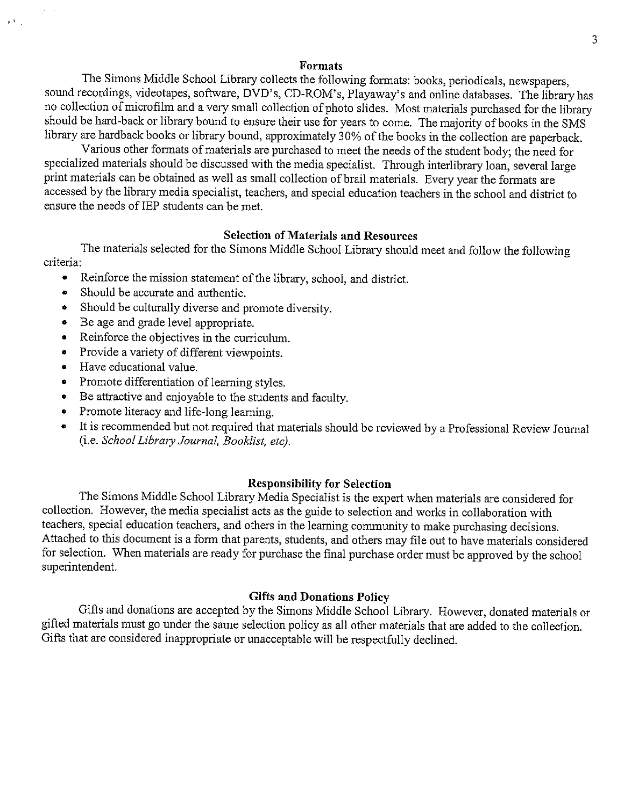#### **Formats**

The Simons Middle School Library collects the following formats: books, periodicals, newspapers, sound recordings, videotapes, software, DVD's, CD-ROM's, Playaway's and online databases. The library has no collection of microfilm and a very small collection of photo slides. Most materials purchased for the library should be hard-back or library bound to ensure their use for years to come. The majority of books in the SMS library are hardback books or library bound, approximately 30% of the books in the collection are paperback.

Various other formats of materials are purchased to meet the needs of the student body; the need for specialized materials should be discussed with the media specialist. Through interlibrary loan, several large print materials can be obtained as well as small collection of brail materials. Every year the formats are accessed by the library media specialist, teachers, and special education teachers in the school and district to ensure the needs of IEP students can be met.

## **Selection of Materials and Resources**

The materials selected for the Simons Middle School Library should meet and follow the following criteria:

- $\bullet$ Reinforce the mission statement of the library, school, and district.
- Should be accurate and authentic.  $\bullet$
- Should be culturally diverse and promote diversity.
- Be age and grade level appropriate.
- Reinforce the objectives in the curriculum.  $\bullet$
- Provide a variety of different viewpoints.
- Have educational value.  $\bullet$

 $\mathbf{y}(\mathbf{V})$  .

- Promote differentiation of learning styles.
- Be attractive and enjoyable to the students and faculty.
- Promote literacy and life-long learning.  $\bullet$
- It is recommended but not required that materials should be reviewed by a Professional Review Journal (i.e. School Library Journal, Booklist, etc).

## **Responsibility for Selection**

The Simons Middle School Library Media Specialist is the expert when materials are considered for collection. However, the media specialist acts as the guide to selection and works in collaboration with teachers, special education teachers, and others in the learning community to make purchasing decisions. Attached to this document is a form that parents, students, and others may file out to have materials considered for selection. When materials are ready for purchase the final purchase order must be approved by the school superintendent.

## **Gifts and Donations Policy**

Gifts and donations are accepted by the Simons Middle School Library. However, donated materials or gifted materials must go under the same selection policy as all other materials that are added to the collection. Gifts that are considered inappropriate or unacceptable will be respectfully declined.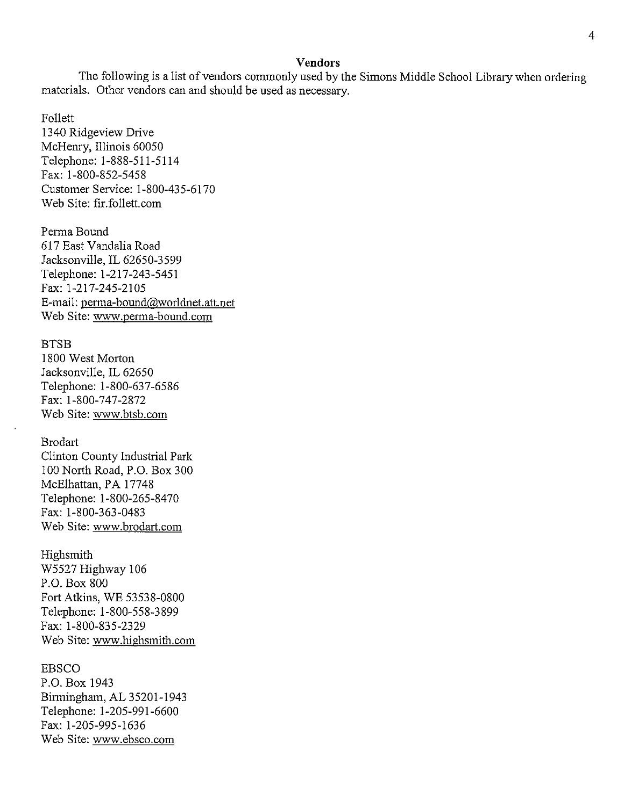#### **Vendors**

The following is a list of vendors commonly used by the Simons Middle School Library when ordering materials. Other vendors can and should be used as necessary.

Follett

1340 Ridgeview Drive McHenry, Illinois 60050 Telephone: 1-888-511-5114 Fax: 1-800-852-5458 Customer Service: 1-800-435-6170 Web Site: fir.follett.com

Perma Bound 617 East Vandalia Road Jacksonville, IL 62650-3599 Telephone: 1-217-243-5451 Fax: 1-217-245-2105 E-mail: perma-bound@worldnet.att.net Web Site: www.perma-bound.com

#### **BTSB**

1800 West Morton Jacksonville, IL 62650 Telephone: 1-800-637-6586 Fax: 1-800-747-2872 Web Site: www.btsb.com

#### **Brodart**

Clinton County Industrial Park 100 North Road, P.O. Box 300 McElhattan, PA 17748 Telephone: 1-800-265-8470 Fax: 1-800-363-0483 Web Site: www.brodart.com

Highsmith

W5527 Highway 106 P.O. Box 800 Fort Atkins, WE 53538-0800 Telephone: 1-800-558-3899 Fax: 1-800-835-2329 Web Site: www.highsmith.com

#### **EBSCO**

P.O. Box 1943 Birmingham, AL 35201-1943 Telephone: 1-205-991-6600 Fax: 1-205-995-1636 Web Site: www.ebsco.com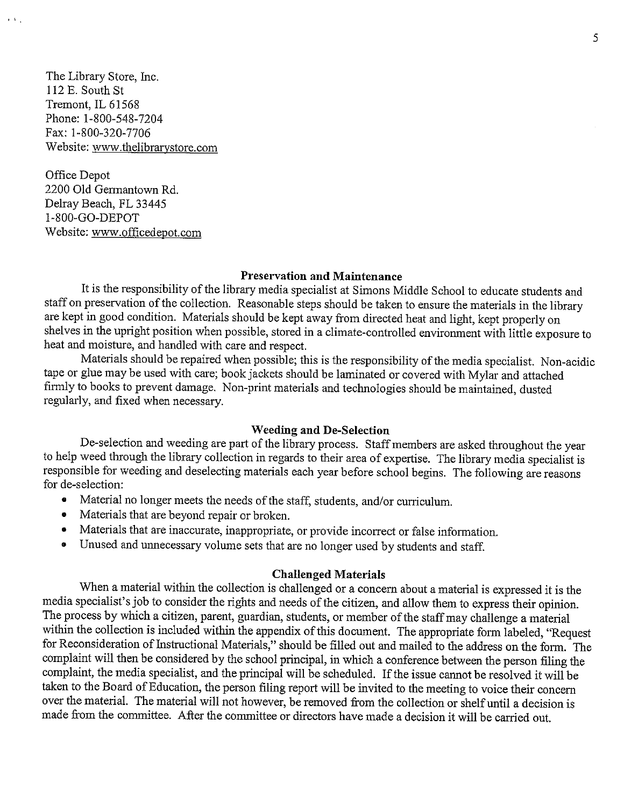The Library Store, Inc. 112 E. South St Tremont, IL 61568 Phone: 1-800-548-7204 Fax: 1-800-320-7706 Website: www.thelibrarystore.com

 $\mathbf{y} \in \mathbf{X}$  .  $\mathbf{y}$ 

Office Depot 2200 Old Germantown Rd. Delray Beach, FL 33445 1-800-GO-DEPOT Website: www.officedepot.com

#### **Preservation and Maintenance**

It is the responsibility of the library media specialist at Simons Middle School to educate students and staff on preservation of the collection. Reasonable steps should be taken to ensure the materials in the library are kept in good condition. Materials should be kept away from directed heat and light, kept properly on shelves in the upright position when possible, stored in a climate-controlled environment with little exposure to heat and moisture, and handled with care and respect.

Materials should be repaired when possible; this is the responsibility of the media specialist. Non-acidic tape or glue may be used with care; book jackets should be laminated or covered with Mylar and attached firmly to books to prevent damage. Non-print materials and technologies should be maintained, dusted regularly, and fixed when necessary.

#### **Weeding and De-Selection**

De-selection and weeding are part of the library process. Staff members are asked throughout the year to help weed through the library collection in regards to their area of expertise. The library media specialist is responsible for weeding and deselecting materials each year before school begins. The following are reasons for de-selection:

- Material no longer meets the needs of the staff, students, and/or curriculum.
- Materials that are beyond repair or broken.
- Materials that are inaccurate, inappropriate, or provide incorrect or false information.
- Unused and unnecessary volume sets that are no longer used by students and staff.

#### **Challenged Materials**

When a material within the collection is challenged or a concern about a material is expressed it is the media specialist's job to consider the rights and needs of the citizen, and allow them to express their opinion. The process by which a citizen, parent, guardian, students, or member of the staff may challenge a material within the collection is included within the appendix of this document. The appropriate form labeled, "Request for Reconsideration of Instructional Materials," should be filled out and mailed to the address on the form. The complaint will then be considered by the school principal, in which a conference between the person filing the complaint, the media specialist, and the principal will be scheduled. If the issue cannot be resolved it will be taken to the Board of Education, the person filing report will be invited to the meeting to voice their concern over the material. The material will not however, be removed from the collection or shelf until a decision is made from the committee. After the committee or directors have made a decision it will be carried out.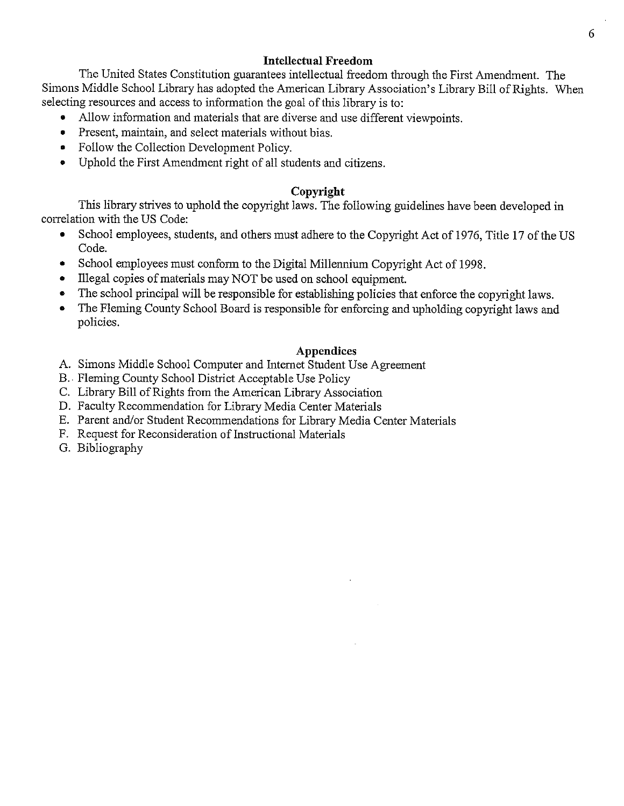## **Intellectual Freedom**

The United States Constitution guarantees intellectual freedom through the First Amendment. The Simons Middle School Library has adopted the American Library Association's Library Bill of Rights. When selecting resources and access to information the goal of this library is to:

- Allow information and materials that are diverse and use different viewpoints.
- Present, maintain, and select materials without bias.
- Follow the Collection Development Policy.
- Uphold the First Amendment right of all students and citizens.

## Copyright

This library strives to uphold the copyright laws. The following guidelines have been developed in correlation with the US Code:

- $\bullet$ School employees, students, and others must adhere to the Copyright Act of 1976, Title 17 of the US Code.
- School employees must conform to the Digital Millennium Copyright Act of 1998.
- Illegal copies of materials may NOT be used on school equipment.  $\bullet$
- The school principal will be responsible for establishing policies that enforce the copyright laws.
- The Fleming County School Board is responsible for enforcing and upholding copyright laws and policies.

## **Appendices**

- A. Simons Middle School Computer and Internet Student Use Agreement
- B. Fleming County School District Acceptable Use Policy
- C. Library Bill of Rights from the American Library Association
- D. Faculty Recommendation for Library Media Center Materials
- E. Parent and/or Student Recommendations for Library Media Center Materials
- F. Request for Reconsideration of Instructional Materials
- G. Bibliography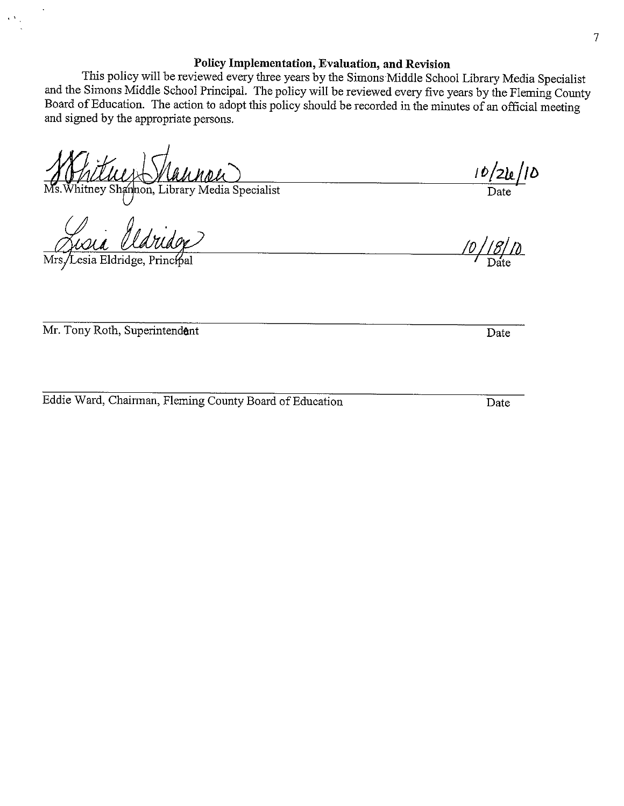## Policy Implementation, Evaluation, and Revision

This policy will be reviewed every three years by the Simons Middle School Library Media Specialist and the Simons Middle School Principal. The policy will be reviewed every five years by the Fleming County Board of Education. The action to adopt this policy should be recorded in the minutes of an official meeting and signed by the appropriate persons.

itney Shannon, Library Media Specialist

Lesia Eldridge, Principal

Mr. Tony Roth, Superintendant

Eddie Ward, Chairman, Fleming County Board of Education

 $\frac{16/21e}{\text{Date}}$ 

<u>/D.</u>

Date

Date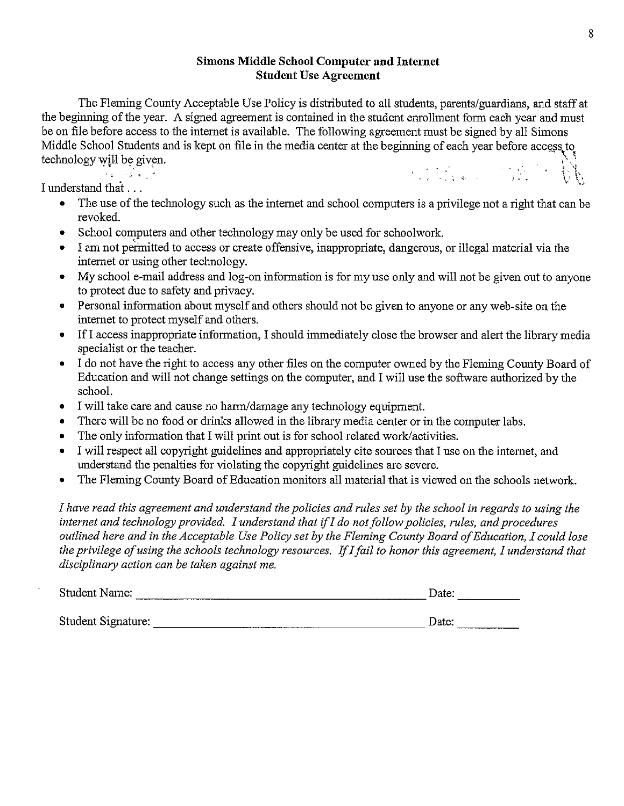## **Simons Middle School Computer and Internet Student Use Agreement**

The Fleming County Acceptable Use Policy is distributed to all students, parents/guardians, and staff at the beginning of the year. A signed agreement is contained in the student enrollment form each year and must be on file before access to the internet is available. The following agreement must be signed by all Simons Middle School Students and is kept on file in the media center at the beginning of each year before access to technology will be given.  $\mathcal{L} = \mathcal{L} \mathcal{L} = \mathcal{L} \mathcal{L}$ 

I understand that ...

- The use of the technology such as the internet and school computers is a privilege not a right that can be revoked.
- School computers and other technology may only be used for schoolwork.
- I am not permitted to access or create offensive, inappropriate, dangerous, or illegal material via the internet or using other technology.
- My school e-mail address and log-on information is for my use only and will not be given out to anyone to protect due to safety and privacy.
- Personal information about myself and others should not be given to anyone or any web-site on the internet to protect myself and others.
- If I access inappropriate information, I should immediately close the browser and alert the library media specialist or the teacher.
- I do not have the right to access any other files on the computer owned by the Fleming County Board of Education and will not change settings on the computer, and I will use the software authorized by the school.
- I will take care and cause no harm/damage any technology equipment.
- There will be no food or drinks allowed in the library media center or in the computer labs.  $\bullet$
- The only information that I will print out is for school related work/activities.
- I will respect all copyright guidelines and appropriately cite sources that I use on the internet, and  $\bullet$ understand the penalties for violating the copyright guidelines are severe.
- The Fleming County Board of Education monitors all material that is viewed on the schools network.  $\bullet$

I have read this agreement and understand the policies and rules set by the school in regards to using the internet and technology provided. I understand that if I do not follow policies, rules, and procedures outlined here and in the Acceptable Use Policy set by the Fleming County Board of Education, I could lose the privilege of using the schools technology resources. If I fail to honor this agreement, I understand that disciplinary action can be taken against me.

| <b>Student Name:</b> |  | Jate: |
|----------------------|--|-------|
|                      |  | .     |

Student Signature: Date: Date: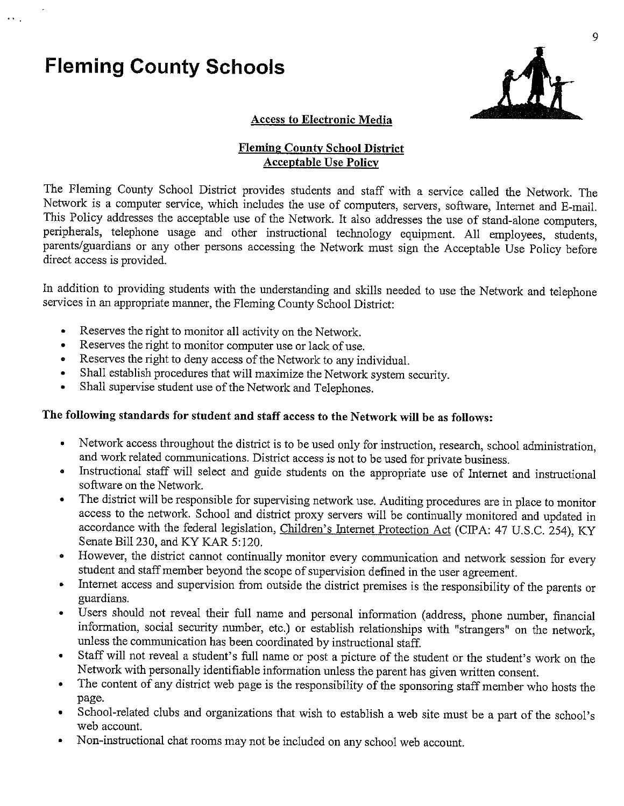# **Fleming County Schools**



#### **Access to Electronic Media**

## **Fleming County School District Acceptable Use Policy**

The Fleming County School District provides students and staff with a service called the Network. The Network is a computer service, which includes the use of computers, servers, software, Internet and E-mail. This Policy addresses the acceptable use of the Network. It also addresses the use of stand-alone computers, peripherals, telephone usage and other instructional technology equipment. All employees, students, parents/guardians or any other persons accessing the Network must sign the Acceptable Use Policy before direct access is provided.

In addition to providing students with the understanding and skills needed to use the Network and telephone services in an appropriate manner, the Fleming County School District:

- Reserves the right to monitor all activity on the Network.  $\bullet$
- Reserves the right to monitor computer use or lack of use.  $\bullet$
- Reserves the right to deny access of the Network to any individual.
- Shall establish procedures that will maximize the Network system security.
- Shall supervise student use of the Network and Telephones.

## The following standards for student and staff access to the Network will be as follows:

- Network access throughout the district is to be used only for instruction, research, school administration, and work related communications. District access is not to be used for private business.
- · Instructional staff will select and guide students on the appropriate use of Internet and instructional software on the Network.
- The district will be responsible for supervising network use. Auditing procedures are in place to monitor  $\bullet$ access to the network. School and district proxy servers will be continually monitored and updated in accordance with the federal legislation, Children's Internet Protection Act (CIPA: 47 U.S.C. 254), KY Senate Bill 230, and KY KAR 5:120.
- However, the district cannot continually monitor every communication and network session for every student and staff member beyond the scope of supervision defined in the user agreement.
- Internet access and supervision from outside the district premises is the responsibility of the parents or guardians.
- Users should not reveal their full name and personal information (address, phone number, financial information, social security number, etc.) or establish relationships with "strangers" on the network, unless the communication has been coordinated by instructional staff.
- Staff will not reveal a student's full name or post a picture of the student or the student's work on the  $\bullet$ Network with personally identifiable information unless the parent has given written consent.
- The content of any district web page is the responsibility of the sponsoring staff member who hosts the  $\bullet$ page.
- School-related clubs and organizations that wish to establish a web site must be a part of the school's  $\bullet$ web account.
- Non-instructional chat rooms may not be included on any school web account.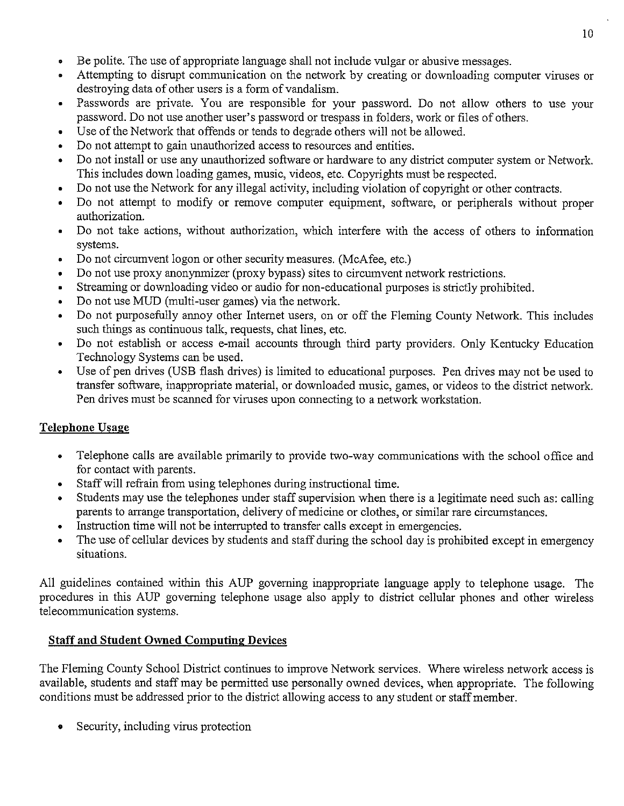- ۰ Be polite. The use of appropriate language shall not include vulgar or abusive messages.
- Attempting to disrupt communication on the network by creating or downloading computer viruses or destroying data of other users is a form of vandalism.
- Passwords are private. You are responsible for your password. Do not allow others to use your  $\bullet$ password. Do not use another user's password or trespass in folders, work or files of others.
- Use of the Network that offends or tends to degrade others will not be allowed.  $\bullet$
- Do not attempt to gain unauthorized access to resources and entities.  $\bullet$
- Do not install or use any unauthorized software or hardware to any district computer system or Network. This includes down loading games, music, videos, etc. Copyrights must be respected.
- Do not use the Network for any illegal activity, including violation of copyright or other contracts.
- Do not attempt to modify or remove computer equipment, software, or peripherals without proper  $\bullet$ authorization.
- Do not take actions, without authorization, which interfere with the access of others to information  $\bullet$ systems.
- Do not circumvent logon or other security measures. (McAfee, etc.)  $\bullet$
- Do not use proxy anonymmizer (proxy bypass) sites to circumvent network restrictions.  $\bullet$
- Streaming or downloading video or audio for non-educational purposes is strictly prohibited.  $\bullet$
- Do not use MUD (multi-user games) via the network.  $\bullet$
- Do not purposefully annoy other Internet users, on or off the Fleming County Network. This includes  $\bullet$ such things as continuous talk, requests, chat lines, etc.
- Do not establish or access e-mail accounts through third party providers. Only Kentucky Education  $\bullet$ Technology Systems can be used.
- Use of pen drives (USB flash drives) is limited to educational purposes. Pen drives may not be used to  $\bullet$ transfer software, inappropriate material, or downloaded music, games, or videos to the district network. Pen drives must be scanned for viruses upon connecting to a network workstation.

# **Telephone Usage**

- Telephone calls are available primarily to provide two-way communications with the school office and for contact with parents.
- Staff will refrain from using telephones during instructional time.  $\bullet$
- Students may use the telephones under staff supervision when there is a legitimate need such as: calling  $\bullet$ parents to arrange transportation, delivery of medicine or clothes, or similar rare circumstances.
- Instruction time will not be interrupted to transfer calls except in emergencies.  $\bullet$
- The use of cellular devices by students and staff during the school day is prohibited except in emergency situations.

All guidelines contained within this AUP governing inappropriate language apply to telephone usage. The procedures in this AUP governing telephone usage also apply to district cellular phones and other wireless telecommunication systems.

# **Staff and Student Owned Computing Devices**

The Fleming County School District continues to improve Network services. Where wireless network access is available, students and staff may be permitted use personally owned devices, when appropriate. The following conditions must be addressed prior to the district allowing access to any student or staff member.

Security, including virus protection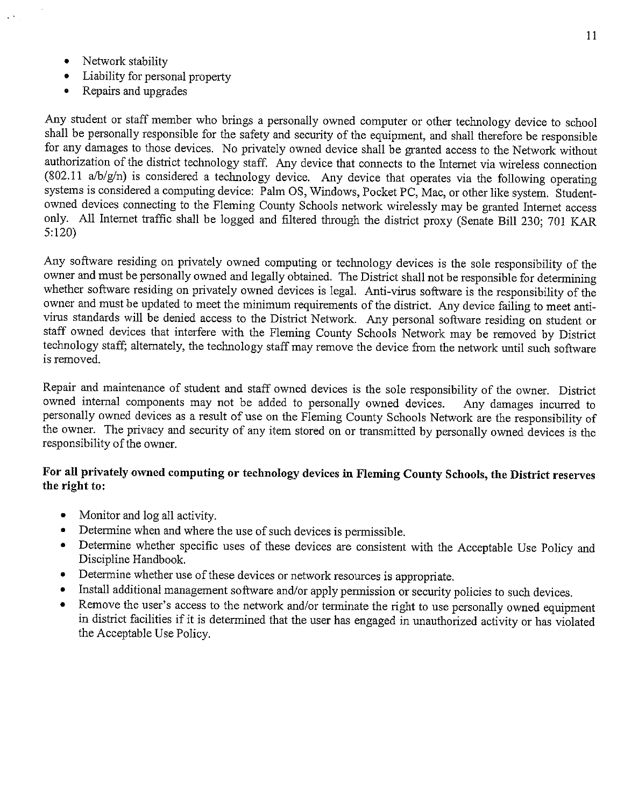- $\bullet$ Network stability
- Liability for personal property
- Repairs and upgrades  $\bullet$

Any student or staff member who brings a personally owned computer or other technology device to school shall be personally responsible for the safety and security of the equipment, and shall therefore be responsible for any damages to those devices. No privately owned device shall be granted access to the Network without authorization of the district technology staff. Any device that connects to the Internet via wireless connection (802.11 a/b/g/n) is considered a technology device. Any device that operates via the following operating systems is considered a computing device: Palm OS, Windows, Pocket PC, Mac, or other like system. Studentowned devices connecting to the Fleming County Schools network wirelessly may be granted Internet access only. All Internet traffic shall be logged and filtered through the district proxy (Senate Bill 230; 701 KAR  $5:120$ 

Any software residing on privately owned computing or technology devices is the sole responsibility of the owner and must be personally owned and legally obtained. The District shall not be responsible for determining whether software residing on privately owned devices is legal. Anti-virus software is the responsibility of the owner and must be updated to meet the minimum requirements of the district. Any device failing to meet antivirus standards will be denied access to the District Network. Any personal software residing on student or staff owned devices that interfere with the Fleming County Schools Network may be removed by District technology staff, alternately, the technology staff may remove the device from the network until such software is removed.

Repair and maintenance of student and staff owned devices is the sole responsibility of the owner. District owned internal components may not be added to personally owned devices. Any damages incurred to personally owned devices as a result of use on the Fleming County Schools Network are the responsibility of the owner. The privacy and security of any item stored on or transmitted by personally owned devices is the responsibility of the owner.

## For all privately owned computing or technology devices in Fleming County Schools, the District reserves the right to:

- Monitor and log all activity.
- Determine when and where the use of such devices is permissible.  $\bullet$
- Determine whether specific uses of these devices are consistent with the Acceptable Use Policy and Discipline Handbook.
- Determine whether use of these devices or network resources is appropriate.  $\bullet$
- Install additional management software and/or apply permission or security policies to such devices.  $\bullet$
- Remove the user's access to the network and/or terminate the right to use personally owned equipment  $\bullet$ in district facilities if it is determined that the user has engaged in unauthorized activity or has violated the Acceptable Use Policy.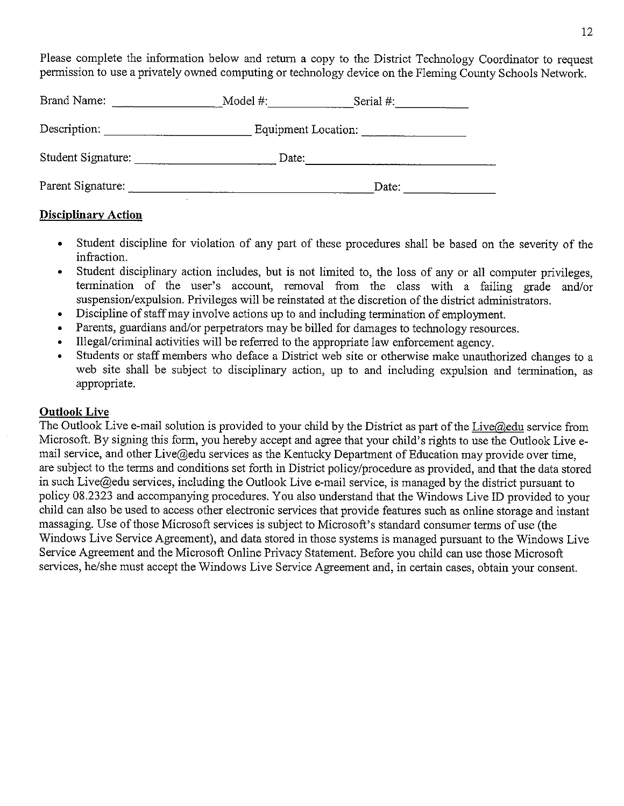Please complete the information below and return a copy to the District Technology Coordinator to request permission to use a privately owned computing or technology device on the Fleming County Schools Network.

| Brand Name:        | Model #:            | Serial #: |
|--------------------|---------------------|-----------|
| Description:       | Equipment Location: |           |
| Student Signature: | Date:               |           |
| Parent Signature:  |                     | Date:     |

## **Disciplinary Action**

- Student discipline for violation of any part of these procedures shall be based on the severity of the  $\bullet$ infraction.
- Student disciplinary action includes, but is not limited to, the loss of any or all computer privileges,  $\bullet$ termination of the user's account, removal from the class with a failing grade and/or suspension/expulsion. Privileges will be reinstated at the discretion of the district administrators.
- $\bullet$ Discipline of staff may involve actions up to and including termination of employment.
- Parents, guardians and/or perpetrators may be billed for damages to technology resources.
- Illegal/criminal activities will be referred to the appropriate law enforcement agency.  $\bullet$
- Students or staff members who deface a District web site or otherwise make unauthorized changes to a web site shall be subject to disciplinary action, up to and including expulsion and termination, as appropriate.

## **Outlook Live**

The Outlook Live e-mail solution is provided to your child by the District as part of the Live@edu service from Microsoft. By signing this form, you hereby accept and agree that your child's rights to use the Outlook Live email service, and other Live@edu services as the Kentucky Department of Education may provide over time, are subject to the terms and conditions set forth in District policy/procedure as provided, and that the data stored in such Live@edu services, including the Outlook Live e-mail service, is managed by the district pursuant to policy 08.2323 and accompanying procedures. You also understand that the Windows Live ID provided to your child can also be used to access other electronic services that provide features such as online storage and instant massaging. Use of those Microsoft services is subject to Microsoft's standard consumer terms of use (the Windows Live Service Agreement), and data stored in those systems is managed pursuant to the Windows Live Service Agreement and the Microsoft Online Privacy Statement. Before you child can use those Microsoft services, he/she must accept the Windows Live Service Agreement and, in certain cases, obtain your consent.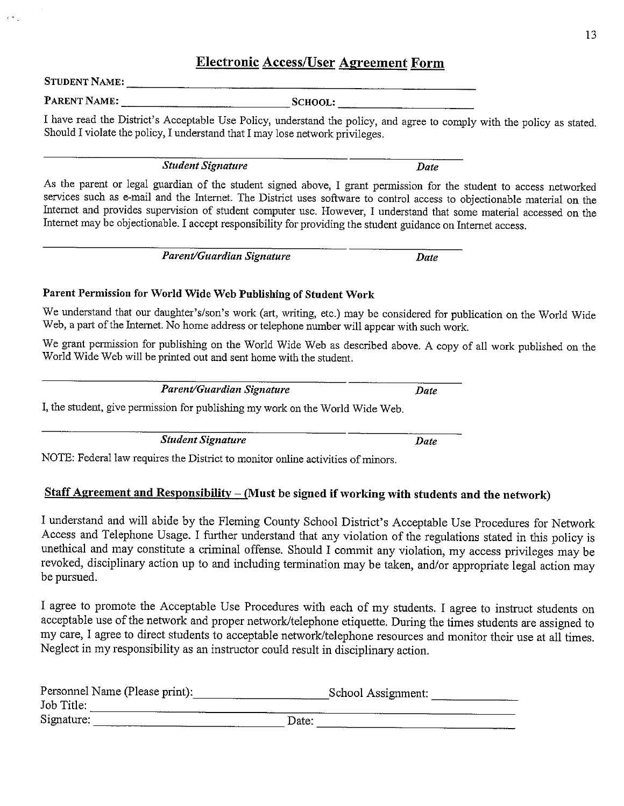# **Electronic Access/User Agreement Form**

**STUDENT NAME:** 

PARENT NAME:

I have read the District's Acceptable Use Policy, understand the policy, and agree to comply with the policy as stated. Should I violate the policy, I understand that I may lose network privileges.

**Student Signature** 

As the parent or legal guardian of the student signed above, I grant permission for the student to access networked services such as e-mail and the Internet. The District uses software to control access to objectionable material on the Internet and provides supervision of student computer use. However, I understand that some material accessed on the Internet may be objectionable. I accept responsibility for providing the student guidance on Internet access.

> Parent/Guardian Signature Date

## Parent Permission for World Wide Web Publishing of Student Work

We understand that our daughter's/son's work (art, writing, etc.) may be considered for publication on the World Wide Web, a part of the Internet. No home address or telephone number will appear with such work.

We grant permission for publishing on the World Wide Web as described above. A copy of all work published on the World Wide Web will be printed out and sent home with the student.

Parent/Guardian Signature

I, the student, give permission for publishing my work on the World Wide Web.

**Student Signature** 

**Date** 

Date

Date

NOTE: Federal law requires the District to monitor online activities of minors.

# Staff Agreement and Responsibility  $-$  (Must be signed if working with students and the network)

I understand and will abide by the Fleming County School District's Acceptable Use Procedures for Network Access and Telephone Usage. I further understand that any violation of the regulations stated in this policy is unethical and may constitute a criminal offense. Should I commit any violation, my access privileges may be revoked, disciplinary action up to and including termination may be taken, and/or appropriate legal action may be pursued.

I agree to promote the Acceptable Use Procedures with each of my students. I agree to instruct students on acceptable use of the network and proper network/telephone etiquette. During the times students are assigned to my care, I agree to direct students to acceptable network/telephone resources and monitor their use at all times. Neglect in my responsibility as an instructor could result in disciplinary action.

| Personnel Name (Please print): |       | School Assignment: |  |
|--------------------------------|-------|--------------------|--|
| Job Title:                     |       |                    |  |
| Signature:                     | Date: |                    |  |

SCHOOL: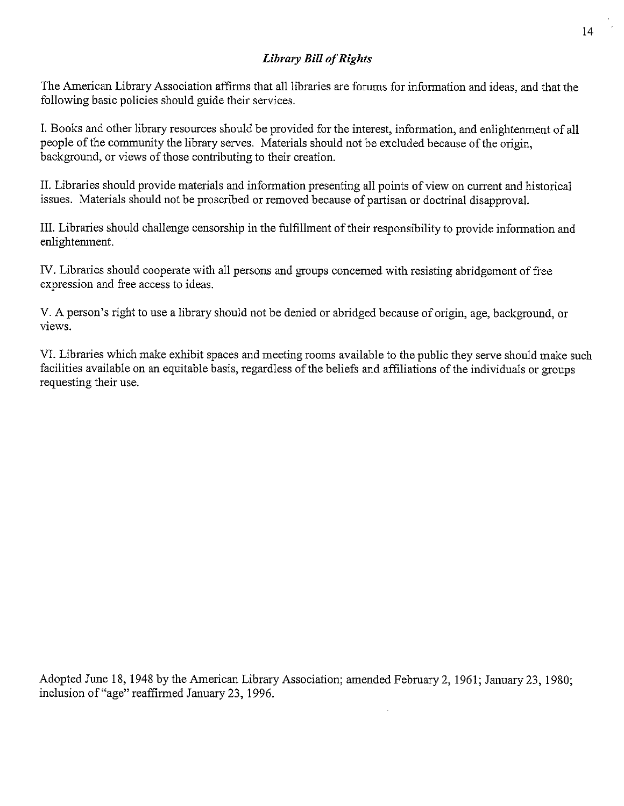## **Library Bill of Rights**

The American Library Association affirms that all libraries are forums for information and ideas, and that the following basic policies should guide their services.

I. Books and other library resources should be provided for the interest, information, and enlightenment of all people of the community the library serves. Materials should not be excluded because of the origin. background, or views of those contributing to their creation.

II. Libraries should provide materials and information presenting all points of view on current and historical issues. Materials should not be proscribed or removed because of partisan or doctrinal disapproval.

III. Libraries should challenge censorship in the fulfillment of their responsibility to provide information and enlightenment.

IV. Libraries should cooperate with all persons and groups concerned with resisting abridgement of free expression and free access to ideas.

V. A person's right to use a library should not be denied or abridged because of origin, age, background, or views.

VI. Libraries which make exhibit spaces and meeting rooms available to the public they serve should make such facilities available on an equitable basis, regardless of the beliefs and affiliations of the individuals or groups requesting their use.

Adopted June 18, 1948 by the American Library Association; amended February 2, 1961; January 23, 1980; inclusion of "age" reaffirmed January 23, 1996.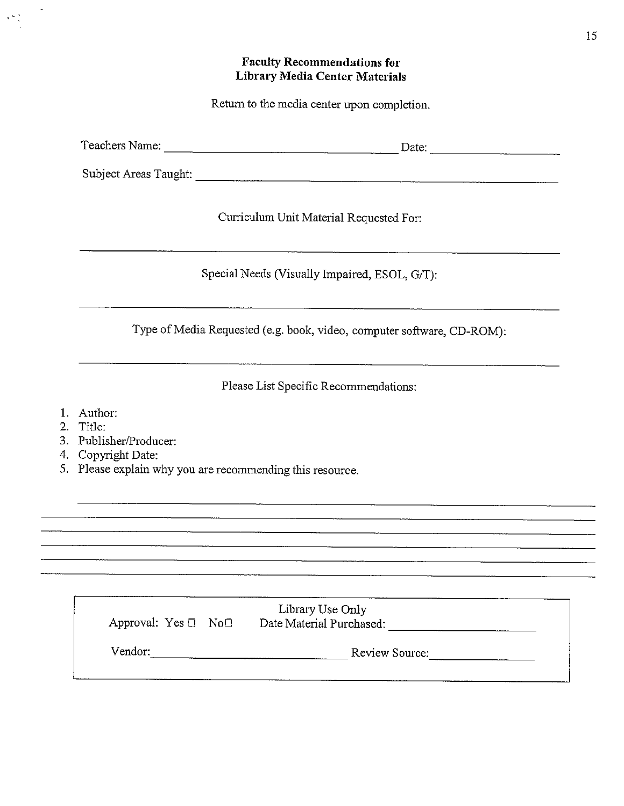## **Faculty Recommendations for Library Media Center Materials**

Return to the media center upon completion.

Curriculum Unit Material Requested For:

Special Needs (Visually Impaired, ESOL, G/T):

Type of Media Requested (e.g. book, video, computer software, CD-ROM):

Please List Specific Recommendations:

- 1. Author:
- 2. Title:

 $\mathbf{v} \in \mathcal{V}$ 

- 3. Publisher/Producer:
- 4. Copyright Date:
- 5. Please explain why you are recommending this resource.

| Approval: $Yes \Box No \Box$ | Library Use Only<br>Date Material Purchased: |
|------------------------------|----------------------------------------------|
| Vendor:                      | Review Source:                               |
|                              |                                              |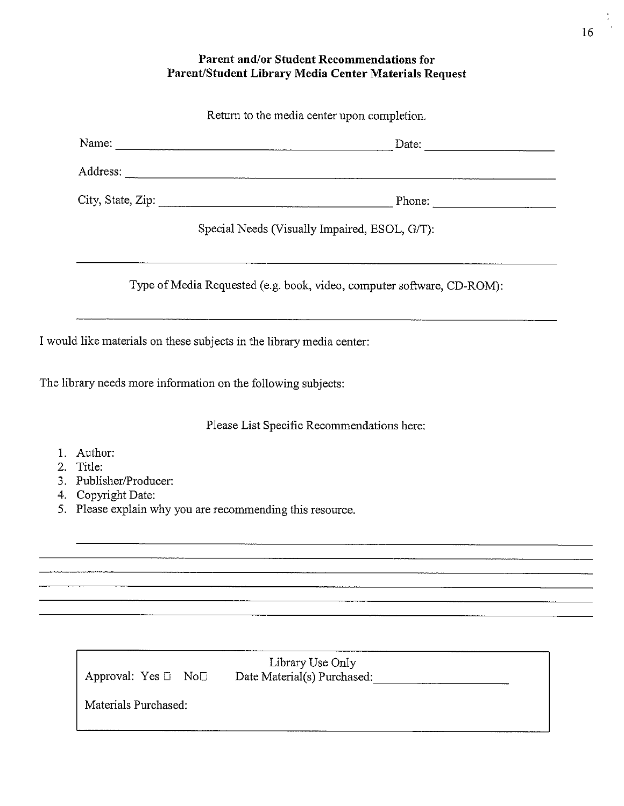## Parent and/or Student Recommendations for Parent/Student Library Media Center Materials Request

|                      |                        | Return to the media center upon completion.                            |
|----------------------|------------------------|------------------------------------------------------------------------|
|                      |                        |                                                                        |
|                      |                        |                                                                        |
|                      |                        |                                                                        |
|                      |                        | Special Needs (Visually Impaired, ESOL, G/T):                          |
|                      |                        | Type of Media Requested (e.g. book, video, computer software, CD-ROM): |
|                      |                        | I would like materials on these subjects in the library media center:  |
|                      |                        | The library needs more information on the following subjects:          |
|                      |                        | Please List Specific Recommendations here:                             |
| Author:<br>2. Title: | 3. Publisher/Producer: |                                                                        |

- 4. Copyright Date:
- 5. Please explain why you are recommending this resource.

| Approval: Yes $\Box$ No $\Box$ | Library Use Only<br>Date Material(s) Purchased: |  |
|--------------------------------|-------------------------------------------------|--|
| Materials Purchased:           |                                                 |  |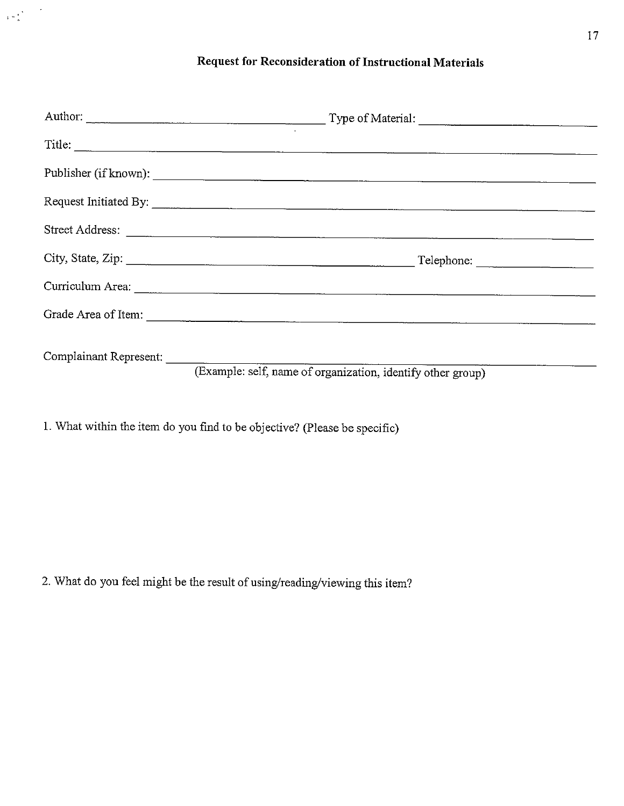# Request for Reconsideration of Instructional Materials

|                        | Title:                                                      |  |
|------------------------|-------------------------------------------------------------|--|
|                        |                                                             |  |
|                        |                                                             |  |
|                        | Street Address:                                             |  |
|                        | City, State, Zip:                                           |  |
|                        |                                                             |  |
|                        |                                                             |  |
| Complainant Represent: | (Example: self, name of organization, identify other group) |  |
|                        |                                                             |  |

1. What within the item do you find to be objective? (Please be specific)

 $\label{eq:2} \begin{array}{c} \mathbf{r} & \mathbf{r} \\ \mathbf{r} & \mathbf{r} \\ \mathbf{r} & \mathbf{r} \end{array}$ 

2. What do you feel might be the result of using/reading/viewing this item?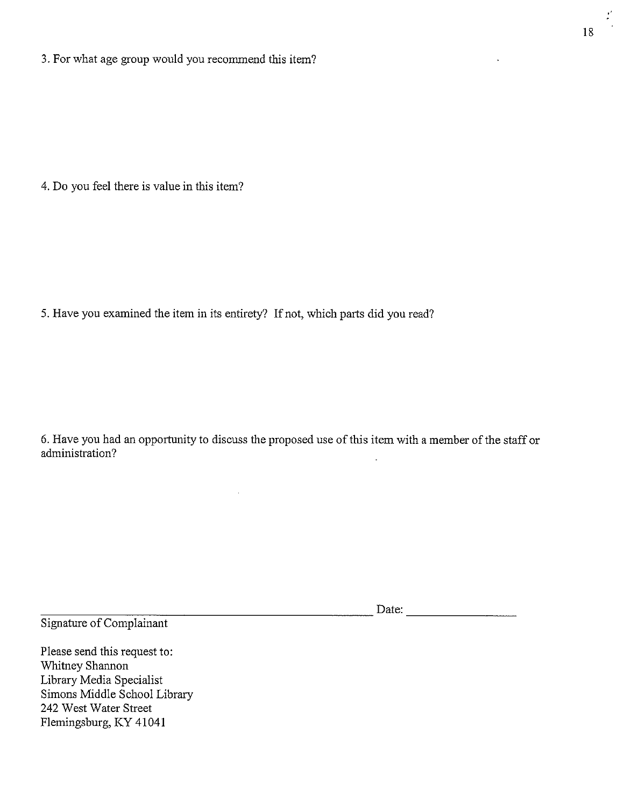3. For what age group would you recommend this item?

4. Do you feel there is value in this item?

5. Have you examined the item in its entirety? If not, which parts did you read?

6. Have you had an opportunity to discuss the proposed use of this item with a member of the staff or administration?

| ----<br> | ite: |  |
|----------|------|--|
|          |      |  |

Signature of Complainant

Please send this request to: Whitney Shannon Library Media Specialist Simons Middle School Library 242 West Water Street Flemingsburg, KY 41041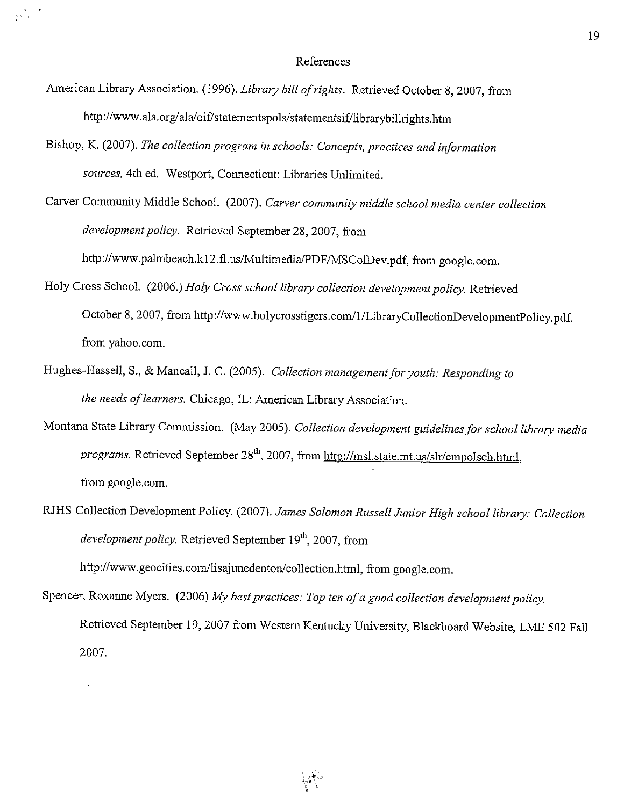- American Library Association. (1996). Library bill of rights. Retrieved October 8, 2007, from http://www.ala.org/ala/oif/statementspols/statementsif/librarybillrights.htm
- Bishop, K. (2007). The collection program in schools: Concepts, practices and information sources, 4th ed. Westport, Connecticut: Libraries Unlimited.

Carver Community Middle School. (2007). Carver community middle school media center collection development policy. Retrieved September 28, 2007, from http://www.palmbeach.k12.fl.us/Multimedia/PDF/MSColDev.pdf, from google.com.

- Holy Cross School. (2006.) Holy Cross school library collection development policy. Retrieved October 8, 2007, from http://www.holycrosstigers.com/1/LibraryCollectionDevelopmentPolicy.pdf, from yahoo.com.
- Hughes-Hassell, S., & Mancall, J. C. (2005). Collection management for youth: Responding to the needs of learners. Chicago, IL: American Library Association.
- Montana State Library Commission. (May 2005). Collection development guidelines for school library media programs. Retrieved September 28<sup>th</sup>, 2007, from http://msl.state.mt.us/slr/cmpolsch.html, from google.com.
- RJHS Collection Development Policy. (2007). James Solomon Russell Junior High school library: Collection development policy. Retrieved September 19th, 2007, from http://www.geocities.com/lisajunedenton/collection.html, from google.com.
- Spencer, Roxanne Myers. (2006) My best practices: Top ten of a good collection development policy. Retrieved September 19, 2007 from Western Kentucky University, Blackboard Website, LME 502 Fall 2007.